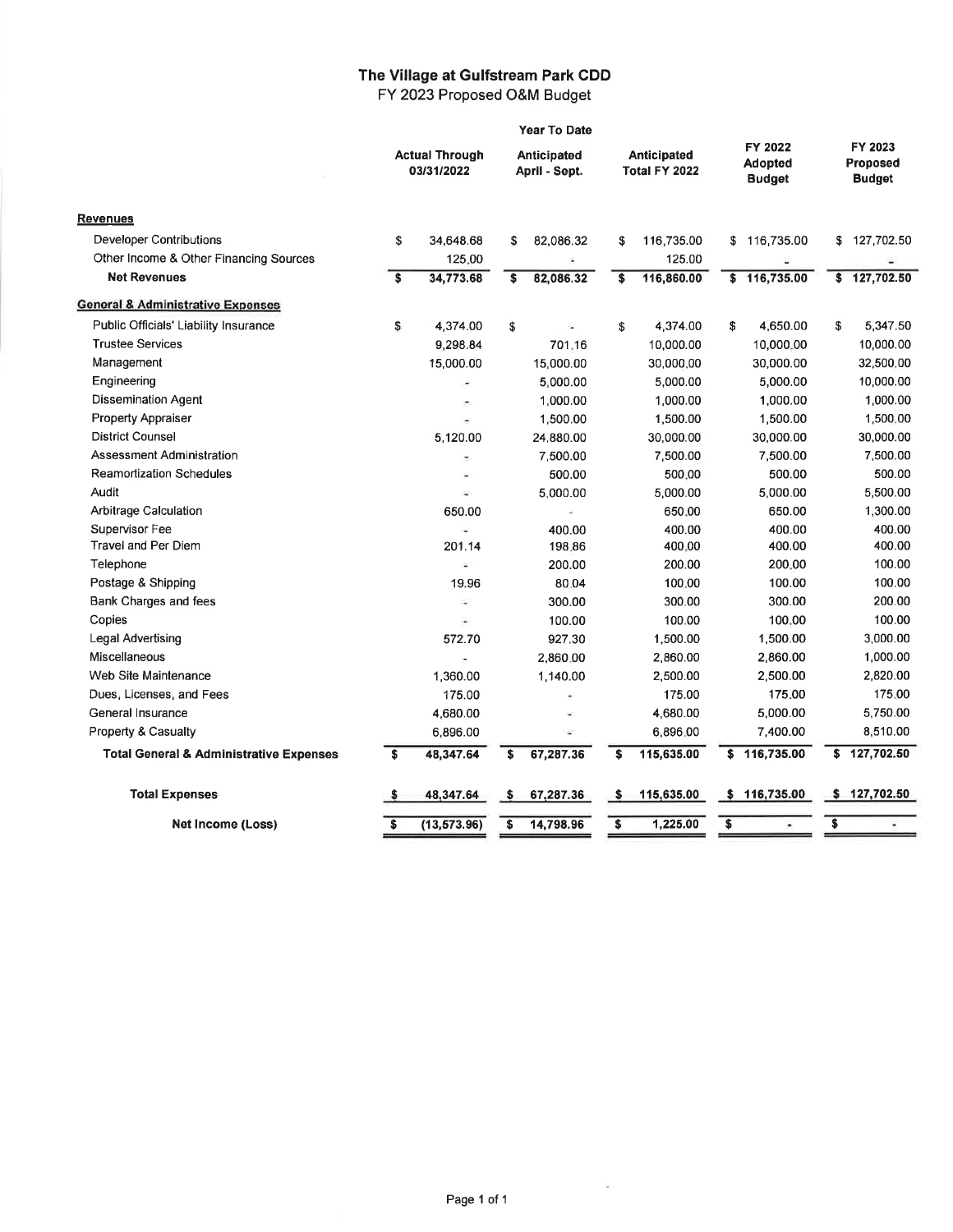## The Village at Gulfstream **Park** CDD FY 2023 Proposed O&M Budget

|                                                    | Year To Date                        |                          |                                     |           |                              |            |                                            |              |                                      |              |
|----------------------------------------------------|-------------------------------------|--------------------------|-------------------------------------|-----------|------------------------------|------------|--------------------------------------------|--------------|--------------------------------------|--------------|
|                                                    | <b>Actual Through</b><br>03/31/2022 |                          | <b>Anticipated</b><br>April - Sept. |           | Anticipated<br>Total FY 2022 |            | FY 2022<br><b>Adopted</b><br><b>Budget</b> |              | FY 2023<br>Proposed<br><b>Budget</b> |              |
| <b>Revenues</b>                                    |                                     |                          |                                     |           |                              |            |                                            |              |                                      |              |
| <b>Developer Contributions</b>                     | \$                                  | 34,648.68                | \$                                  | 82,086.32 | S                            | 116,735.00 |                                            | \$116,735.00 | S                                    | 127,702.50   |
| Other Income & Other Financing Sources             |                                     | 125.00                   |                                     |           |                              | 125.00     |                                            |              |                                      |              |
| <b>Net Revenues</b>                                | s.                                  | 34,773.68                | s                                   | 82,086.32 | s                            | 116,860.00 |                                            | \$116,735.00 | \$                                   | 127,702.50   |
| <b>General &amp; Administrative Expenses</b>       |                                     |                          |                                     |           |                              |            |                                            |              |                                      |              |
| Public Officials' Liability Insurance              | \$                                  | 4,374.00                 | \$                                  | ÷         | \$                           | 4,374.00   | \$                                         | 4,650.00     | \$                                   | 5,347.50     |
| <b>Trustee Services</b>                            |                                     | 9,298.84                 |                                     | 701.16    |                              | 10,000.00  |                                            | 10,000.00    |                                      | 10,000.00    |
| Management                                         |                                     | 15,000.00                |                                     | 15,000.00 |                              | 30,000.00  |                                            | 30,000.00    |                                      | 32,500.00    |
| Engineering                                        |                                     | ×,                       |                                     | 5.000.00  |                              | 5.000.00   |                                            | 5,000.00     |                                      | 10,000.00    |
| <b>Dissemination Agent</b>                         |                                     | $\overline{\phantom{a}}$ |                                     | 1,000.00  |                              | 1,000.00   |                                            | 1,000.00     |                                      | 1,000.00     |
| <b>Property Appraiser</b>                          |                                     | ×                        |                                     | 1,500.00  |                              | 1,500.00   |                                            | 1,500.00     |                                      | 1,500.00     |
| <b>District Counsel</b>                            |                                     | 5,120.00                 |                                     | 24,880.00 |                              | 30,000.00  |                                            | 30,000.00    |                                      | 30,000.00    |
| Assessment Administration                          |                                     | $\blacksquare$           |                                     | 7,500.00  |                              | 7,500.00   |                                            | 7,500.00     |                                      | 7,500.00     |
| <b>Reamortization Schedules</b>                    |                                     | ü                        |                                     | 500.00    |                              | 500.00     |                                            | 500.00       |                                      | 500.00       |
| Audit                                              |                                     | ×,                       |                                     | 5.000.00  |                              | 5,000.00   |                                            | 5,000.00     |                                      | 5,500.00     |
| Arbitrage Calculation                              |                                     | 650.00                   |                                     | ä,        |                              | 650.00     |                                            | 650.00       |                                      | 1,300.00     |
| Supervisor Fee                                     |                                     | ÷.                       |                                     | 400.00    |                              | 400.00     |                                            | 400.00       |                                      | 400.00       |
| <b>Travel and Per Diem</b>                         |                                     | 201.14                   |                                     | 198.86    |                              | 400.00     |                                            | 400.00       |                                      | 400.00       |
| Telephone                                          |                                     | Ś.                       |                                     | 200.00    |                              | 200.00     |                                            | 200.00       |                                      | 100.00       |
| Postage & Shipping                                 |                                     | 19.96                    |                                     | 80.04     |                              | 100.00     |                                            | 100.00       |                                      | 100.00       |
| Bank Charges and fees                              |                                     | ÷,                       |                                     | 300.00    |                              | 300.00     |                                            | 300.00       |                                      | 200.00       |
| Copies                                             |                                     | ٠                        |                                     | 100.00    |                              | 100.00     |                                            | 100.00       |                                      | 100.00       |
| Legal Advertising                                  |                                     | 572.70                   |                                     | 927.30    |                              | 1,500.00   |                                            | 1,500.00     |                                      | 3,000.00     |
| Miscellaneous                                      |                                     |                          |                                     | 2,860.00  |                              | 2,860.00   |                                            | 2,860.00     |                                      | 1,000.00     |
| Web Site Maintenance                               |                                     | 1.360.00                 |                                     | 1,140.00  |                              | 2,500.00   |                                            | 2,500.00     |                                      | 2.820.00     |
| Dues, Licenses, and Fees                           |                                     | 175.00                   |                                     |           |                              | 175.00     |                                            | 175.00       |                                      | 175.00       |
| General Insurance                                  |                                     | 4,680.00                 |                                     | ц.        |                              | 4,680.00   |                                            | 5,000.00     |                                      | 5,750.00     |
| Property & Casualty                                |                                     | 6,896.00                 |                                     |           |                              | 6,896.00   |                                            | 7,400.00     |                                      | 8,510.00     |
| <b>Total General &amp; Administrative Expenses</b> | \$                                  | 48,347.64                | \$                                  | 67,287.36 | \$                           | 115,635.00 | \$                                         | 116,735.00   | \$                                   | 127,702.50   |
| <b>Total Expenses</b>                              | \$                                  | 48,347.64                | -S                                  | 67,287.36 | -\$                          | 115,635.00 |                                            | \$116,735.00 |                                      | \$127,702.50 |
| Net Income (Loss)                                  | \$                                  | (13, 573.96)             | \$                                  | 14,798.96 | $\overline{\bullet}$         | 1,225.00   | \$                                         |              | \$                                   |              |

 $\tilde{\mathcal{F}}$